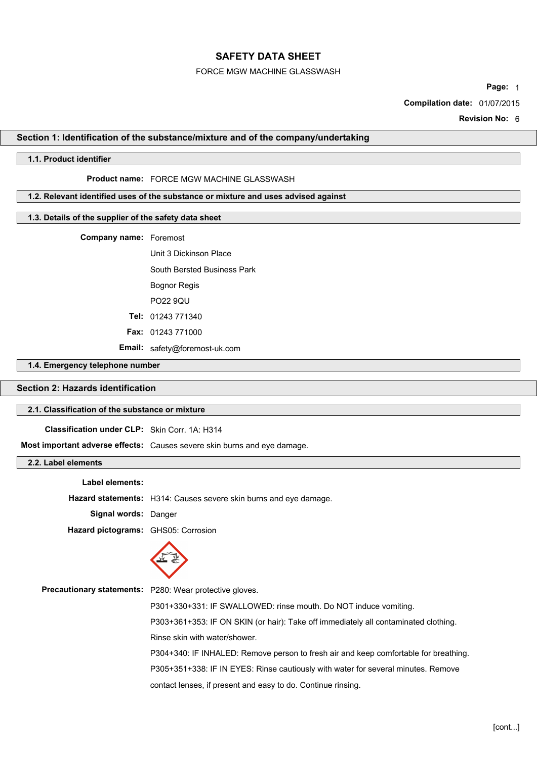### FORCE MGW MACHINE GLASSWASH

**Page:** 1

**Compilation date:** 01/07/2015

**Revision No:** 6

# **Section 1: Identification of the substance/mixture and of the company/undertaking**

### **1.1. Product identifier**

## **Product name:** FORCE MGW MACHINE GLASSWASH

# **1.2. Relevant identified uses of the substance or mixture and uses advised against**

## **1.3. Details of the supplier of the safety data sheet**

**Company name:** Foremost

Unit 3 Dickinson Place South Bersted Business Park Bognor Regis PO22 9QU

**Tel:** 01243 771340

**Fax:** 01243 771000

**Email:** safety@foremost-uk.com

## **1.4. Emergency telephone number**

# **Section 2: Hazards identification**

# **2.1. Classification of the substance or mixture**

**Classification under CLP:** Skin Corr. 1A: H314

**Most important adverse effects:** Causes severe skin burns and eye damage.

## **2.2. Label elements**

**Label elements: Hazard statements:** H314: Causes severe skin burns and eye damage. **Signal words:** Danger **Hazard pictograms:** GHS05: Corrosion



| <b>Precautionary statements:</b> P280: Wear protective gloves.                       |
|--------------------------------------------------------------------------------------|
| P301+330+331: IF SWALLOWED: rinse mouth. Do NOT induce vomiting.                     |
| P303+361+353: IF ON SKIN (or hair): Take off immediately all contaminated clothing.  |
| Rinse skin with water/shower.                                                        |
| P304+340: IF INHALED: Remove person to fresh air and keep comfortable for breathing. |
| P305+351+338: IF IN EYES: Rinse cautiously with water for several minutes. Remove    |
| contact lenses, if present and easy to do. Continue rinsing.                         |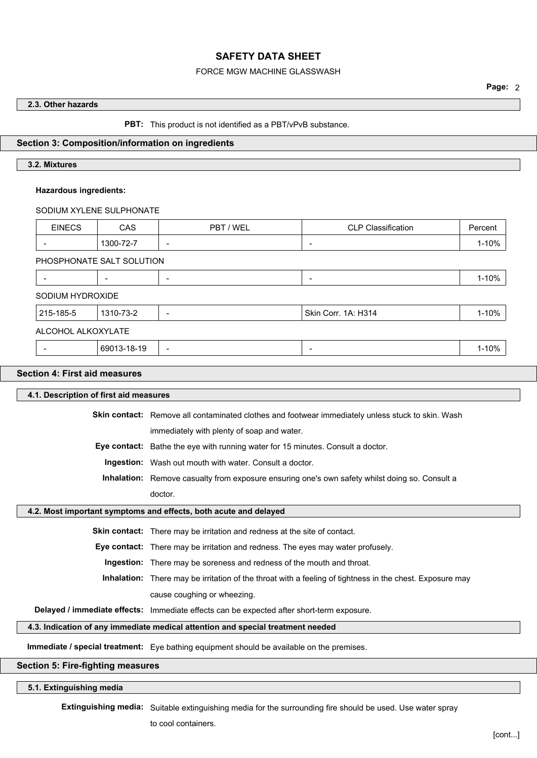### FORCE MGW MACHINE GLASSWASH

# **2.3. Other hazards**

**PBT:** This product is not identified as a PBT/vPvB substance.

### **Section 3: Composition/information on ingredients**

# **3.2. Mixtures**

#### **Hazardous ingredients:**

SODIUM XYLENE SULPHONATE

| <b>EINECS</b>            | CAS                       | PBT / WEL                | <b>CLP Classification</b> | Percent |
|--------------------------|---------------------------|--------------------------|---------------------------|---------|
| $\overline{\phantom{a}}$ | 1300-72-7                 |                          | $\overline{\phantom{0}}$  | 1-10%   |
|                          | PHOSPHONATE SALT SOLUTION |                          |                           |         |
| $\overline{\phantom{a}}$ |                           | $\overline{\phantom{a}}$ | $\overline{\phantom{0}}$  | 1-10%   |
| SODIUM HYDROXIDE         |                           |                          |                           |         |
| 215-185-5                | 1310-73-2                 |                          | Skin Corr. 1A: H314       | 1-10%   |
|                          | ALCOHOL ALKOXYLATE        |                          |                           |         |
|                          |                           |                          |                           |         |

#### **Section 4: First aid measures**

**4.1. Description of first aid measures Skin contact:** Remove all contaminated clothes and footwear immediately unless stuck to skin. Wash immediately with plenty of soap and water. **Eye contact:** Bathe the eye with running water for 15 minutes. Consult a doctor. **Ingestion:** Wash out mouth with water. Consult a doctor. **Inhalation:** Remove casualty from exposure ensuring one's own safety whilst doing so. Consult a doctor. **4.2. Most important symptoms and effects, both acute and delayed Skin contact:** There may be irritation and redness at the site of contact. **Eye contact:** There may be irritation and redness. The eyes may water profusely. **Ingestion:** There may be soreness and redness of the mouth and throat. **Inhalation:** There may be irritation of the throat with a feeling of tightness in the chest. Exposure may

cause coughing or wheezing.

**Delayed / immediate effects:** Immediate effects can be expected after short-term exposure.

#### **4.3. Indication of any immediate medical attention and special treatment needed**

**Immediate / special treatment:** Eye bathing equipment should be available on the premises.

# **Section 5: Fire-fighting measures**

### **5.1. Extinguishing media**

**Extinguishing media:** Suitable extinguishing media for the surrounding fire should be used. Use water spray

to cool containers.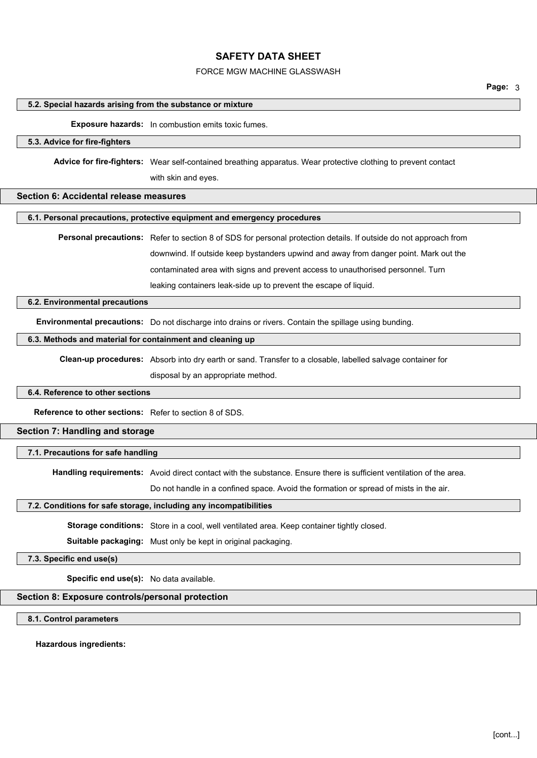## FORCE MGW MACHINE GLASSWASH

**Page:** 3

#### **5.2. Special hazards arising from the substance or mixture**

#### **Exposure hazards:** In combustion emits toxic fumes.

#### **5.3. Advice for fire-fighters**

**Advice for fire-fighters:** Wear self-contained breathing apparatus. Wear protective clothing to prevent contact

with skin and eyes.

### **Section 6: Accidental release measures**

#### **6.1. Personal precautions, protective equipment and emergency procedures**

**Personal precautions:** Refer to section 8 of SDS for personal protection details. If outside do not approach from downwind. If outside keep bystanders upwind and away from danger point. Mark out the contaminated area with signs and prevent access to unauthorised personnel. Turn leaking containers leak-side up to prevent the escape of liquid.

#### **6.2. Environmental precautions**

**Environmental precautions:** Do not discharge into drains or rivers. Contain the spillage using bunding.

## **6.3. Methods and material for containment and cleaning up**

**Clean-up procedures:** Absorb into dry earth or sand. Transfer to a closable, labelled salvage container for

disposal by an appropriate method.

### **6.4. Reference to other sections**

**Reference to other sections:** Refer to section 8 of SDS.

## **Section 7: Handling and storage**

**7.1. Precautions for safe handling**

**Handling requirements:** Avoid direct contact with the substance. Ensure there is sufficient ventilation of the area.

Do not handle in a confined space. Avoid the formation or spread of mists in the air.

#### **7.2. Conditions for safe storage, including any incompatibilities**

**Storage conditions:** Store in a cool, well ventilated area. Keep container tightly closed.

**Suitable packaging:** Must only be kept in original packaging.

**7.3. Specific end use(s)**

**Specific end use(s):** No data available.

# **Section 8: Exposure controls/personal protection**

**8.1. Control parameters**

**Hazardous ingredients:**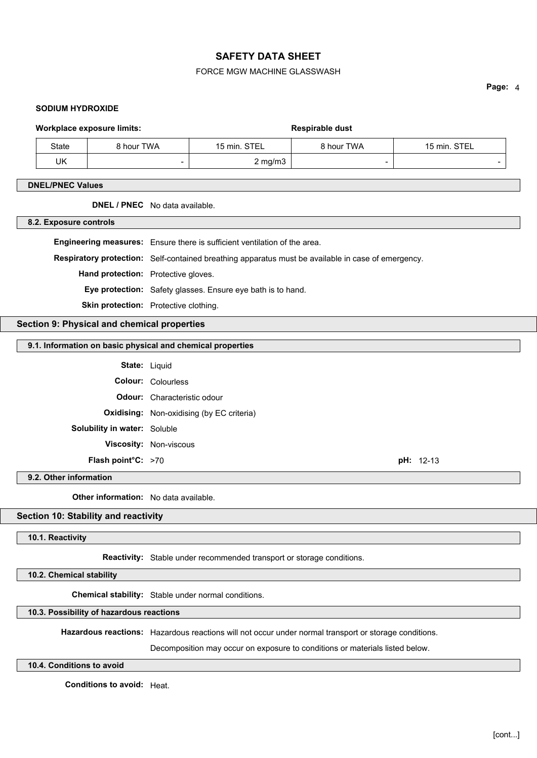## FORCE MGW MACHINE GLASSWASH

**SODIUM HYDROXIDE**

**Page:** 4

| <b>Workplace exposure limits:</b> |            | <b>Respirable dust</b> |            |                          |
|-----------------------------------|------------|------------------------|------------|--------------------------|
| State                             | 8 hour TWA | 15 min. STEL           | 8 hour TWA | 15 min. STEL             |
| UK                                | -          | $2 \text{ mg/m}$ 3     | -          | $\overline{\phantom{a}}$ |
|                                   |            |                        |            |                          |

# **DNEL/PNEC Values**

## **DNEL / PNEC** No data available.

**8.2. Exposure controls**

**Engineering measures:** Ensure there is sufficient ventilation of the area. **Respiratory protection:** Self-contained breathing apparatus must be available in case of emergency. **Hand protection:** Protective gloves. **Eye protection:** Safety glasses. Ensure eye bath is to hand. **Skin protection:** Protective clothing.

**Section 9: Physical and chemical properties**

#### **9.1. Information on basic physical and chemical properties**

| <b>State: Liguid</b>                |                                                  |             |
|-------------------------------------|--------------------------------------------------|-------------|
|                                     | <b>Colour: Colourless</b>                        |             |
|                                     | <b>Odour:</b> Characteristic odour               |             |
|                                     | <b>Oxidising:</b> Non-oxidising (by EC criteria) |             |
| <b>Solubility in water: Soluble</b> |                                                  |             |
|                                     | Viscosity: Non-viscous                           |             |
| <b>Flash point °C:</b> $>70$        |                                                  | $pH: 12-13$ |

#### **9.2. Other information**

**Other information:** No data available.

## **Section 10: Stability and reactivity**

#### **10.1. Reactivity**

**Reactivity:** Stable under recommended transport or storage conditions.

**10.2. Chemical stability**

**Chemical stability:** Stable under normal conditions.

**10.3. Possibility of hazardous reactions**

**Hazardous reactions:** Hazardous reactions will not occur under normal transport or storage conditions.

Decomposition may occur on exposure to conditions or materials listed below.

# **10.4. Conditions to avoid**

**Conditions to avoid:** Heat.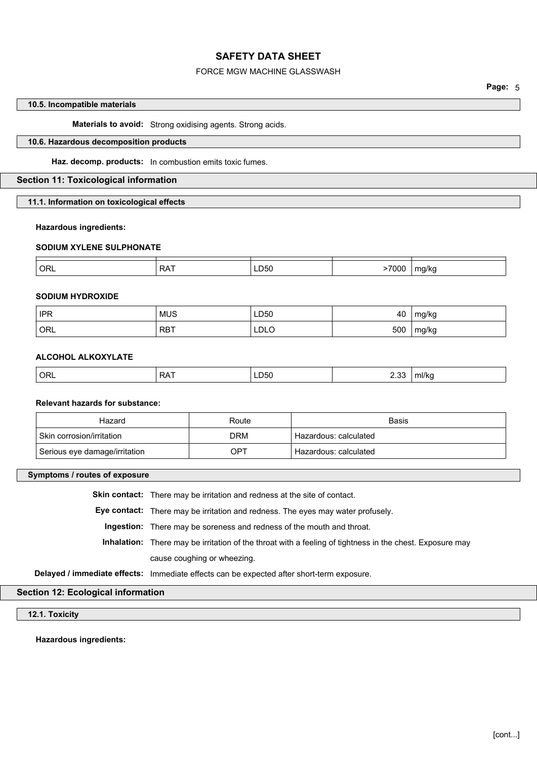## FORCE MGW MACHINE GLASSWASH

# **10.5. Incompatible materials**

**Materials to avoid:** Strong oxidising agents. Strong acids.

# **10.6. Hazardous decomposition products**

**Haz. decomp. products:** In combustion emits toxic fumes.

# **Section 11: Toxicological information**

**11.1. Information on toxicological effects**

#### **Hazardous ingredients:**

#### **SODIUM XYLENE SULPHONATE**

| ORL | ^ ^<br>v | D50<br>$ -$ | --- | .<br>. . |
|-----|----------|-------------|-----|----------|

### **SODIUM HYDROXIDE**

| <b>IPR</b> | <b>MUS</b> | LD50 | . .<br>-40 | ma/ka      |
|------------|------------|------|------------|------------|
| ORL        | <b>RBT</b> | LDLO | 500        | ma/ka<br>ັ |

### **ALCOHOL ALKOXYLATE**

| ORL | --<br>י כ<br>v | LD50<br>. | $\sim$<br>2.UU | ml/kc |
|-----|----------------|-----------|----------------|-------|
|     |                |           |                |       |

### **Relevant hazards for substance:**

| Hazard                        | Route | Basis                 |
|-------------------------------|-------|-----------------------|
| Skin corrosion/irritation     | DRM   | Hazardous: calculated |
| Serious eye damage/irritation | OPT   | Hazardous: calculated |

**Symptoms / routes of exposure**

**Skin contact:** There may be irritation and redness at the site of contact.

**Eye contact:** There may be irritation and redness. The eyes may water profusely.

**Ingestion:** There may be soreness and redness of the mouth and throat.

**Inhalation:** There may be irritation of the throat with a feeling of tightness in the chest. Exposure may cause coughing or wheezing.

**Delayed / immediate effects:** Immediate effects can be expected after short-term exposure.

# **Section 12: Ecological information**

**12.1. Toxicity**

**Hazardous ingredients:**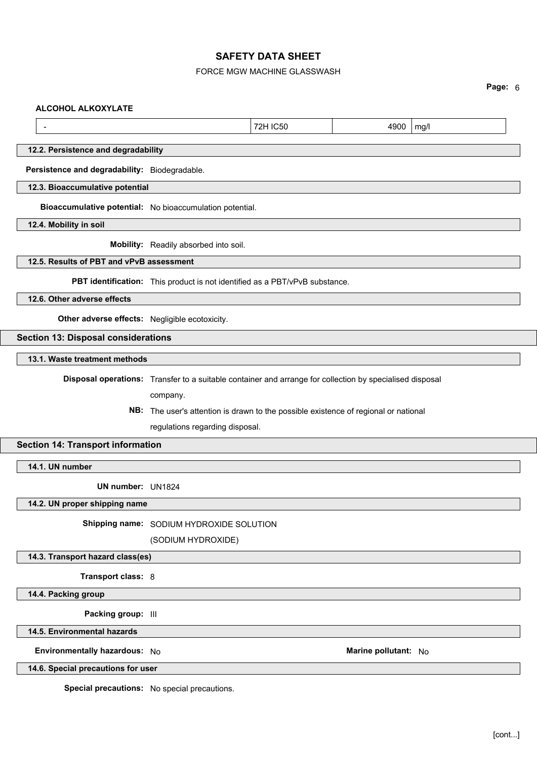# FORCE MGW MACHINE GLASSWASH

**Page:** 6

#### **ALCOHOL ALKOXYLATE**

- 2000 mg/l = 2000 mg/l = 2000 mg/l = 2000 mg/l = 2000 mg/l = 2000 mg/l = 2000 mg/l

### **12.2. Persistence and degradability**

**Persistence and degradability:** Biodegradable.

**12.3. Bioaccumulative potential**

**Bioaccumulative potential:** No bioaccumulation potential.

**12.4. Mobility in soil**

**Mobility:** Readily absorbed into soil.

## **12.5. Results of PBT and vPvB assessment**

**PBT identification:** This product is not identified as a PBT/vPvB substance.

**12.6. Other adverse effects**

**Other adverse effects:** Negligible ecotoxicity.

# **Section 13: Disposal considerations**

**13.1. Waste treatment methods**

**Disposal operations:** Transfer to a suitable container and arrange for collection by specialised disposal

company.

**NB:** The user's attention is drawn to the possible existence of regional or national regulations regarding disposal.

## **Section 14: Transport information**

**14.1. UN number**

**UN number:** UN1824

**14.2. UN proper shipping name**

**Shipping name:** SODIUM HYDROXIDE SOLUTION

(SODIUM HYDROXIDE)

# **14.3. Transport hazard class(es)**

**Transport class:** 8

**14.4. Packing group**

**Packing group:** III

**14.5. Environmental hazards**

### **Environmentally hazardous:** No **Marine pollutant:** No

**14.6. Special precautions for user**

**Special precautions:** No special precautions.